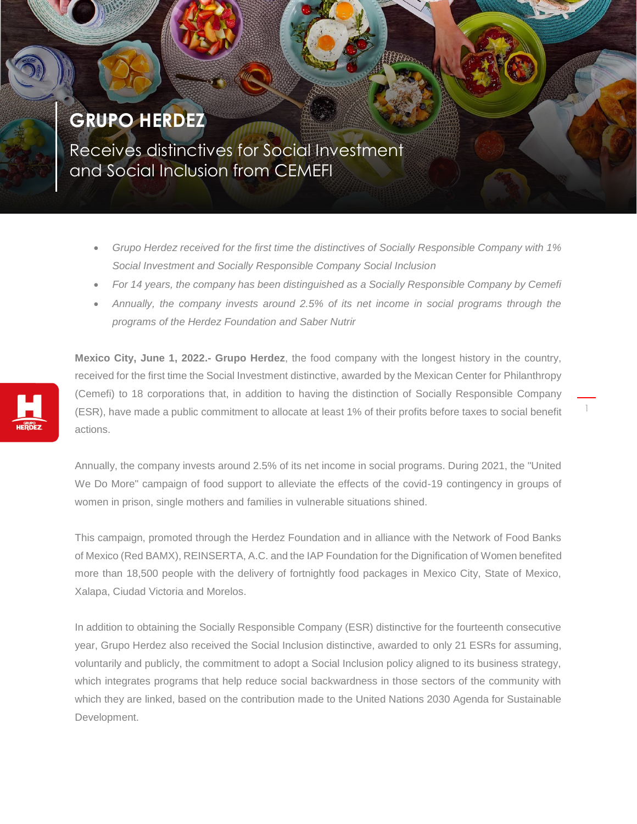## **GRUPO HERDEZ**

Receives distinctives for Social Investment and Social Inclusion from CEMEFI

- *Grupo Herdez received for the first time the distinctives of Socially Responsible Company with 1% Social Investment and Socially Responsible Company Social Inclusion*
- *For 14 years, the company has been distinguished as a Socially Responsible Company by Cemefi*
- *Annually, the company invests around 2.5% of its net income in social programs through the programs of the Herdez Foundation and Saber Nutrir*

**Mexico City, June 1, 2022.- Grupo Herdez**, the food company with the longest history in the country, received for the first time the Social Investment distinctive, awarded by the Mexican Center for Philanthropy (Cemefi) to 18 corporations that, in addition to having the distinction of Socially Responsible Company (ESR), have made a public commitment to allocate at least 1% of their profits before taxes to social benefit actions.

1

Annually, the company invests around 2.5% of its net income in social programs. During 2021, the "United We Do More" campaign of food support to alleviate the effects of the covid-19 contingency in groups of women in prison, single mothers and families in vulnerable situations shined.

This campaign, promoted through the Herdez Foundation and in alliance with the Network of Food Banks of Mexico (Red BAMX), REINSERTA, A.C. and the IAP Foundation for the Dignification of Women benefited more than 18,500 people with the delivery of fortnightly food packages in Mexico City, State of Mexico, Xalapa, Ciudad Victoria and Morelos.

In addition to obtaining the Socially Responsible Company (ESR) distinctive for the fourteenth consecutive year, Grupo Herdez also received the Social Inclusion distinctive, awarded to only 21 ESRs for assuming, voluntarily and publicly, the commitment to adopt a Social Inclusion policy aligned to its business strategy, which integrates programs that help reduce social backwardness in those sectors of the community with which they are linked, based on the contribution made to the United Nations 2030 Agenda for Sustainable Development.

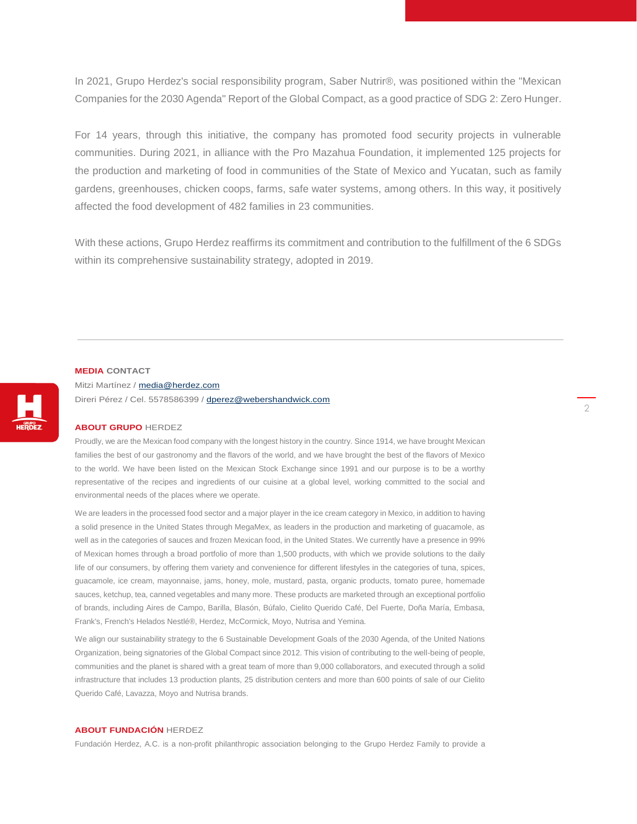In 2021, Grupo Herdez's social responsibility program, Saber Nutrir®, was positioned within the "Mexican Companies for the 2030 Agenda" Report of the Global Compact, as a good practice of SDG 2: Zero Hunger.

For 14 years, through this initiative, the company has promoted food security projects in vulnerable communities. During 2021, in alliance with the Pro Mazahua Foundation, it implemented 125 projects for the production and marketing of food in communities of the State of Mexico and Yucatan, such as family gardens, greenhouses, chicken coops, farms, safe water systems, among others. In this way, it positively affected the food development of 482 families in 23 communities.

With these actions, Grupo Herdez reaffirms its commitment and contribution to the fulfillment of the 6 SDGs within its comprehensive sustainability strategy, adopted in 2019.

## **MEDIA CONTACT**

Mitzi Martínez / [media@herdez.com](mailto:media@herdez.com) Direri Pérez / Cel. 5578586399 [/ dperez@webershandwick.com](mailto:dperez@webershandwick.com)

## **ABOUT GRUPO** HERDEZ

Proudly, we are the Mexican food company with the longest history in the country. Since 1914, we have brought Mexican families the best of our gastronomy and the flavors of the world, and we have brought the best of the flavors of Mexico to the world. We have been listed on the Mexican Stock Exchange since 1991 and our purpose is to be a worthy representative of the recipes and ingredients of our cuisine at a global level, working committed to the social and environmental needs of the places where we operate.

We are leaders in the processed food sector and a major player in the ice cream category in Mexico, in addition to having a solid presence in the United States through MegaMex, as leaders in the production and marketing of guacamole, as well as in the categories of sauces and frozen Mexican food, in the United States. We currently have a presence in 99% of Mexican homes through a broad portfolio of more than 1,500 products, with which we provide solutions to the daily life of our consumers, by offering them variety and convenience for different lifestyles in the categories of tuna, spices, guacamole, ice cream, mayonnaise, jams, honey, mole, mustard, pasta, organic products, tomato puree, homemade sauces, ketchup, tea, canned vegetables and many more. These products are marketed through an exceptional portfolio of brands, including Aires de Campo, Barilla, Blasón, Búfalo, Cielito Querido Café, Del Fuerte, Doña María, Embasa, Frank's, French's Helados Nestlé®, Herdez, McCormick, Moyo, Nutrisa and Yemina.

We align our sustainability strategy to the 6 Sustainable Development Goals of the 2030 Agenda, of the United Nations Organization, being signatories of the Global Compact since 2012. This vision of contributing to the well-being of people, communities and the planet is shared with a great team of more than 9,000 collaborators, and executed through a solid infrastructure that includes 13 production plants, 25 distribution centers and more than 600 points of sale of our Cielito Querido Café, Lavazza, Moyo and Nutrisa brands.

## **ABOUT FUNDACIÓN** HERDEZ

Fundación Herdez, A.C. is a non-profit philanthropic association belonging to the Grupo Herdez Family to provide a